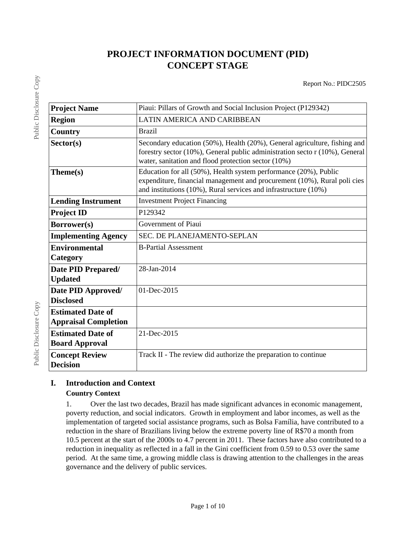# **PROJECT INFORMATION DOCUMENT (PID) CONCEPT STAGE**

| <b>Project Name</b>                                     | Piaui: Pillars of Growth and Social Inclusion Project (P129342)                                                                                                                                                        |
|---------------------------------------------------------|------------------------------------------------------------------------------------------------------------------------------------------------------------------------------------------------------------------------|
| <b>Region</b>                                           | LATIN AMERICA AND CARIBBEAN                                                                                                                                                                                            |
| Country                                                 | <b>Brazil</b>                                                                                                                                                                                                          |
| Sector(s)                                               | Secondary education (50%), Health (20%), General agriculture, fishing and<br>forestry sector $(10\%)$ , General public administration secto $r(10\%)$ , General<br>water, sanitation and flood protection sector (10%) |
| Theme(s)                                                | Education for all (50%), Health system performance (20%), Public<br>expenditure, financial management and procurement (10%), Rural policies<br>and institutions (10%), Rural services and infrastructure (10%)         |
| <b>Lending Instrument</b>                               | <b>Investment Project Financing</b>                                                                                                                                                                                    |
| <b>Project ID</b>                                       | P129342                                                                                                                                                                                                                |
| Borrower(s)                                             | Government of Piaui                                                                                                                                                                                                    |
| <b>Implementing Agency</b>                              | SEC. DE PLANEJAMENTO-SEPLAN                                                                                                                                                                                            |
| <b>Environmental</b><br>Category                        | <b>B-Partial Assessment</b>                                                                                                                                                                                            |
| Date PID Prepared/<br><b>Updated</b>                    | 28-Jan-2014                                                                                                                                                                                                            |
| Date PID Approved/<br><b>Disclosed</b>                  | 01-Dec-2015                                                                                                                                                                                                            |
| <b>Estimated Date of</b><br><b>Appraisal Completion</b> |                                                                                                                                                                                                                        |
| <b>Estimated Date of</b><br><b>Board Approval</b>       | 21-Dec-2015                                                                                                                                                                                                            |
| <b>Concept Review</b><br><b>Decision</b>                | Track II - The review did authorize the preparation to continue                                                                                                                                                        |

# **I. Introduction and Context**

# **Country Context**

1. Over the last two decades, Brazil has made significant advances in economic management, poverty reduction, and social indicators. Growth in employment and labor incomes, as well as the implementation of targeted social assistance programs, such as Bolsa Família, have contributed to a reduction in the share of Brazilians living below the extreme poverty line of R\$70 a month from 10.5 percent at the start of the 2000s to 4.7 percent in 2011. These factors have also contributed to a reduction in inequality as reflected in a fall in the Gini coefficient from 0.59 to 0.53 over the same period. At the same time, a growing middle class is drawing attention to the challenges in the areas governance and the delivery of public services.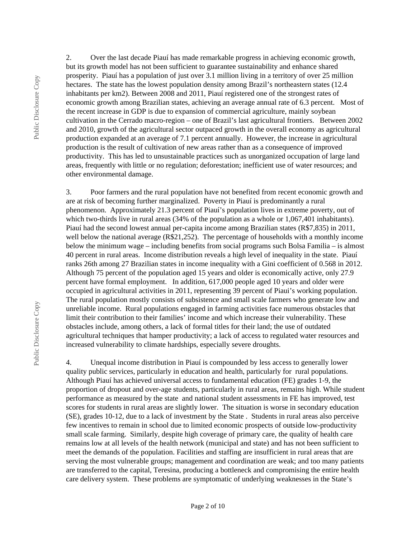2. Over the last decade Piauí has made remarkable progress in achieving economic growth, but its growth model has not been sufficient to guarantee sustainability and enhance shared prosperity. Piauí has a population of just over 3.1 million living in a territory of over 25 million hectares. The state has the lowest population density among Brazil's northeastern states (12.4 inhabitants per km2). Between 2008 and 2011, Piauí registered one of the strongest rates of economic growth among Brazilian states, achieving an average annual rate of 6.3 percent. Most of the recent increase in GDP is due to expansion of commercial agriculture, mainly soybean cultivation in the Cerrado macro-region – one of Brazil's last agricultural frontiers. Between 2002 and 2010, growth of the agricultural sector outpaced growth in the overall economy as agricultural production expanded at an average of 7.1 percent annually. However, the increase in agricultural production is the result of cultivation of new areas rather than as a consequence of improved productivity. This has led to unsustainable practices such as unorganized occupation of large land areas, frequently with little or no regulation; deforestation; inefficient use of water resources; and other environmental damage.

3. Poor farmers and the rural population have not benefited from recent economic growth and are at risk of becoming further marginalized. Poverty in Piauí is predominantly a rural phenomenon. Approximately 21.3 percent of Piauí's population lives in extreme poverty, out of which two-thirds live in rural areas (34% of the population as a whole or 1,067,401 inhabitants). Piauí had the second lowest annual per-capita income among Brazilian states (R\$7,835) in 2011, well below the national average (R\$21,252). The percentage of households with a monthly income below the minimum wage – including benefits from social programs such Bolsa Familia – is almost 40 percent in rural areas. Income distribution reveals a high level of inequality in the state. Piauí ranks 26th among 27 Brazilian states in income inequality with a Gini coefficient of 0.568 in 2012. Although 75 percent of the population aged 15 years and older is economically active, only 27.9 percent have formal employment. In addition, 617,000 people aged 10 years and older were occupied in agricultural activities in 2011, representing 39 percent of Piaui's working population. The rural population mostly consists of subsistence and small scale farmers who generate low and unreliable income. Rural populations engaged in farming activities face numerous obstacles that limit their contribution to their families' income and which increase their vulnerability. These obstacles include, among others, a lack of formal titles for their land; the use of outdated agricultural techniques that hamper productivity; a lack of access to regulated water resources and increased vulnerability to climate hardships, especially severe droughts.

4. Unequal income distribution in Piauí is compounded by less access to generally lower quality public services, particularly in education and health, particularly for rural populations. Although Piauí has achieved universal access to fundamental education (FE) grades 1-9, the proportion of dropout and over-age students, particularly in rural areas, remains high. While student performance as measured by the state and national student assessments in FE has improved, test scores for students in rural areas are slightly lower. The situation is worse in secondary education (SE), grades 10-12, due to a lack of investment by the State . Students in rural areas also perceive few incentives to remain in school due to limited economic prospects of outside low-productivity small scale farming. Similarly, despite high coverage of primary care, the quality of health care remains low at all levels of the health network (municipal and state) and has not been sufficient to meet the demands of the population. Facilities and staffing are insufficient in rural areas that are serving the most vulnerable groups; management and coordination are weak; and too many patients are transferred to the capital, Teresina, producing a bottleneck and compromising the entire health care delivery system. These problems are symptomatic of underlying weaknesses in the State's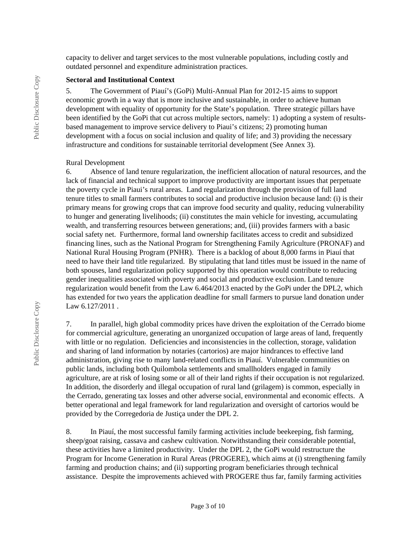capacity to deliver and target services to the most vulnerable populations, including costly and outdated personnel and expenditure administration practices.

#### **Sectoral and Institutional Context**

5. The Government of Piauí's (GoPi) Multi-Annual Plan for 2012-15 aims to support economic growth in a way that is more inclusive and sustainable, in order to achieve human development with equality of opportunity for the State's population. Three strategic pillars have been identified by the GoPi that cut across multiple sectors, namely: 1) adopting a system of resultsbased management to improve service delivery to Piaui's citizens; 2) promoting human development with a focus on social inclusion and quality of life; and 3) providing the necessary infrastructure and conditions for sustainable territorial development (See Annex 3).

#### Rural Development

6. Absence of land tenure regularization, the inefficient allocation of natural resources, and the lack of financial and technical support to improve productivity are important issues that perpetuate the poverty cycle in Piaui's rural areas. Land regularization through the provision of full land tenure titles to small farmers contributes to social and productive inclusion because land: (i) is their primary means for growing crops that can improve food security and quality, reducing vulnerability to hunger and generating livelihoods; (ii) constitutes the main vehicle for investing, accumulating wealth, and transferring resources between generations; and, (iii) provides farmers with a basic social safety net. Furthermore, formal land ownership facilitates access to credit and subsidized financing lines, such as the National Program for Strengthening Family Agriculture (PRONAF) and National Rural Housing Program (PNHR). There is a backlog of about 8,000 farms in Piauí that need to have their land title regularized. By stipulating that land titles must be issued in the name of both spouses, land regularization policy supported by this operation would contribute to reducing gender inequalities associated with poverty and social and productive exclusion. Land tenure regularization would benefit from the Law 6.464/2013 enacted by the GoPi under the DPL2, which has extended for two years the application deadline for small farmers to pursue land donation under Law 6.127/2011 .

7. In parallel, high global commodity prices have driven the exploitation of the Cerrado biome for commercial agriculture, generating an unorganized occupation of large areas of land, frequently with little or no regulation. Deficiencies and inconsistencies in the collection, storage, validation and sharing of land information by notaries (cartorios) are major hindrances to effective land administration, giving rise to many land-related conflicts in Piauí. Vulnerable communities on public lands, including both Quilombola settlements and smallholders engaged in family agriculture, are at risk of losing some or all of their land rights if their occupation is not regularized. In addition, the disorderly and illegal occupation of rural land (grilagem) is common, especially in the Cerrado, generating tax losses and other adverse social, environmental and economic effects. A better operational and legal framework for land regularization and oversight of cartorios would be provided by the Corregedoria de Justiça under the DPL 2.

8. In Piauí, the most successful family farming activities include beekeeping, fish farming, sheep/goat raising, cassava and cashew cultivation. Notwithstanding their considerable potential, these activities have a limited productivity. Under the DPL 2, the GoPi would restructure the Program for Income Generation in Rural Areas (PROGERE), which aims at (i) strengthening family farming and production chains; and (ii) supporting program beneficiaries through technical assistance. Despite the improvements achieved with PROGERE thus far, family farming activities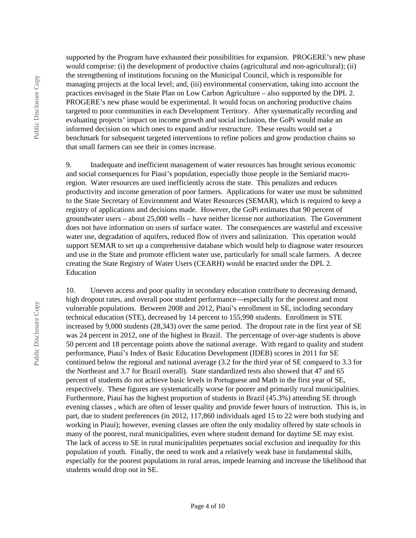Public Disclosure Copy Public Disclosure Copy supported by the Program have exhausted their possibilities for expansion. PROGERE's new phase would comprise: (i) the development of productive chains (agricultural and non-agricultural); (ii) the strengthening of institutions focusing on the Municipal Council, which is responsible for managing projects at the local level; and, (iii) environmental conservation, taking into account the practices envisaged in the State Plan on Low Carbon Agriculture – also supported by the DPL 2. PROGERE's new phase would be experimental. It would focus on anchoring productive chains targeted to poor communities in each Development Territory. After systematically recording and evaluating projects' impact on income growth and social inclusion, the GoPi would make an informed decision on which ones to expand and/or restructure. These results would set a benchmark for subsequent targeted interventions to refine polices and grow production chains so that small farmers can see their in comes increase.

9. Inadequate and inefficient management of water resources has brought serious economic and social consequences for Piaui's population, especially those people in the Semiarid macroregion. Water resources are used inefficiently across the state. This penalizes and reduces productivity and income generation of poor farmers. Applications for water use must be submitted to the State Secretary of Environment and Water Resources (SEMAR), which is required to keep a registry of applications and decisions made. However, the GoPi estimates that 90 percent of groundwater users – about 25,000 wells – have neither license nor authorization. The Government does not have information on users of surface water. The consequences are wasteful and excessive water use, degradation of aquifers, reduced flow of rivers and salinization. This operation would support SEMAR to set up a comprehensive database which would help to diagnose water resources and use in the State and promote efficient water use, particularly for small scale farmers. A decree creating the State Registry of Water Users (CEARH) would be enacted under the DPL 2. Education

10. Uneven access and poor quality in secondary education contribute to decreasing demand, high dropout rates, and overall poor student performance—especially for the poorest and most vulnerable populations. Between 2008 and 2012, Piauí's enrollment in SE, including secondary technical education (STE), decreased by 14 percent to 155,998 students. Enrollment in STE increased by 9,000 students (28,343) over the same period. The dropout rate in the first year of SE was 24 percent in 2012, one of the highest in Brazil. The percentage of over-age students is above 50 percent and 18 percentage points above the national average. With regard to quality and student performance, Piauí's Index of Basic Education Development (IDEB) scores in 2011 for SE continued below the regional and national average (3.2 for the third year of SE compared to 3.3 for the Northeast and 3.7 for Brazil overall). State standardized tests also showed that 47 and 65 percent of students do not achieve basic levels in Portuguese and Math in the first year of SE, respectively. These figures are systematically worse for poorer and primarily rural municipalities. Furthermore, Piauí has the highest proportion of students in Brazil (45.3%) attending SE through evening classes , which are often of lesser quality and provide fewer hours of instruction. This is, in part, due to student preferences (in 2012, 117,860 individuals aged 15 to 22 were both studying and working in Piauí); however, evening classes are often the only modality offered by state schools in many of the poorest, rural municipalities, even where student demand for daytime SE may exist. The lack of access to SE in rural municipalities perpetuates social exclusion and inequality for this population of youth. Finally, the need to work and a relatively weak base in fundamental skills, especially for the poorest populations in rural areas, impede learning and increase the likelihood that students would drop out in SE.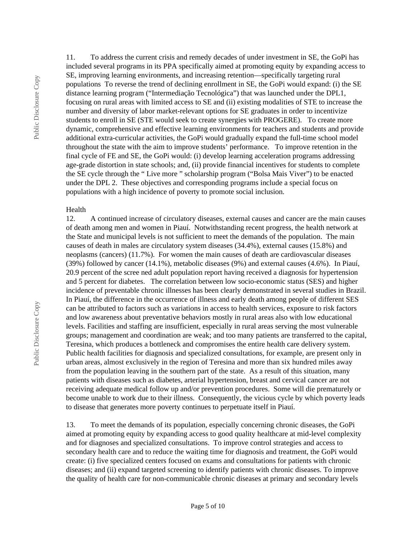11. To address the current crisis and remedy decades of under investment in SE, the GoPi has included several programs in its PPA specifically aimed at promoting equity by expanding access to SE, improving learning environments, and increasing retention—specifically targeting rural populations To reverse the trend of declining enrollment in SE, the GoPi would expand: (i) the SE distance learning program ("Intermediação Tecnológica") that was launched under the DPL1, focusing on rural areas with limited access to SE and (ii) existing modalities of STE to increase the number and diversity of labor market-relevant options for SE graduates in order to incentivize students to enroll in SE (STE would seek to create synergies with PROGERE). To create more dynamic, comprehensive and effective learning environments for teachers and students and provide additional extra-curricular activities, the GoPi would gradually expand the full-time school model throughout the state with the aim to improve students' performance. To improve retention in the final cycle of FE and SE, the GoPi would: (i) develop learning acceleration programs addressing age-grade distortion in state schools; and, (ii) provide financial incentives for students to complete the SE cycle through the " Live more " scholarship program ("Bolsa Mais Viver") to be enacted under the DPL 2. These objectives and corresponding programs include a special focus on populations with a high incidence of poverty to promote social inclusion.

#### Health

12. A continued increase of circulatory diseases, external causes and cancer are the main causes of death among men and women in Piauí. Notwithstanding recent progress, the health network at the State and municipal levels is not sufficient to meet the demands of the population. The main causes of death in males are circulatory system diseases (34.4%), external causes (15.8%) and neoplasms (cancers) (11.7%). For women the main causes of death are cardiovascular diseases (39%) followed by cancer (14.1%), metabolic diseases (9%) and external causes (4.6%). In Piauí, 20.9 percent of the scree ned adult population report having received a diagnosis for hypertension and 5 percent for diabetes. The correlation between low socio-economic status (SES) and higher incidence of preventable chronic illnesses has been clearly demonstrated in several studies in Brazil. In Piauí, the difference in the occurrence of illness and early death among people of different SES can be attributed to factors such as variations in access to health services, exposure to risk factors and low awareness about preventative behaviors mostly in rural areas also with low educational levels. Facilities and staffing are insufficient, especially in rural areas serving the most vulnerable groups; management and coordination are weak; and too many patients are transferred to the capital, Teresina, which produces a bottleneck and compromises the entire health care delivery system. Public health facilities for diagnosis and specialized consultations, for example, are present only in urban areas, almost exclusively in the region of Teresina and more than six hundred miles away from the population leaving in the southern part of the state. As a result of this situation, many patients with diseases such as diabetes, arterial hypertension, breast and cervical cancer are not receiving adequate medical follow up and/or prevention procedures. Some will die prematurely or become unable to work due to their illness. Consequently, the vicious cycle by which poverty leads to disease that generates more poverty continues to perpetuate itself in Piauí.

13. To meet the demands of its population, especially concerning chronic diseases, the GoPi aimed at promoting equity by expanding access to good quality healthcare at mid-level complexity and for diagnoses and specialized consultations. To improve control strategies and access to secondary health care and to reduce the waiting time for diagnosis and treatment, the GoPi would create: (i) five specialized centers focused on exams and consultations for patients with chronic diseases; and (ii) expand targeted screening to identify patients with chronic diseases. To improve the quality of health care for non-communicable chronic diseases at primary and secondary levels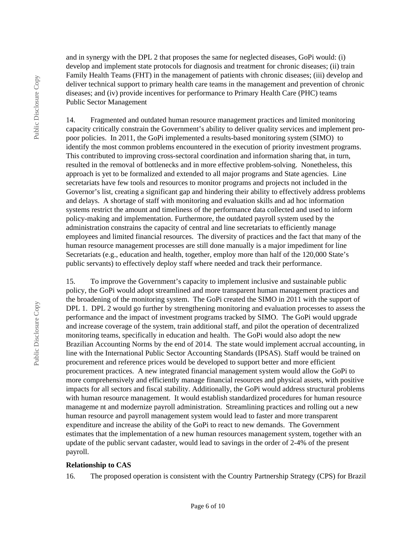Public Disclosure Copy Public Disclosure Copy and in synergy with the DPL 2 that proposes the same for neglected diseases, GoPi would: (i) develop and implement state protocols for diagnosis and treatment for chronic diseases; (ii) train Family Health Teams (FHT) in the management of patients with chronic diseases; (iii) develop and deliver technical support to primary health care teams in the management and prevention of chronic diseases; and (iv) provide incentives for performance to Primary Health Care (PHC) teams Public Sector Management

14. Fragmented and outdated human resource management practices and limited monitoring capacity critically constrain the Government's ability to deliver quality services and implement propoor policies. In 2011, the GoPi implemented a results-based monitoring system (SIMO) to identify the most common problems encountered in the execution of priority investment programs. This contributed to improving cross-sectoral coordination and information sharing that, in turn, resulted in the removal of bottlenecks and in more effective problem-solving. Nonetheless, this approach is yet to be formalized and extended to all major programs and State agencies. Line secretariats have few tools and resources to monitor programs and projects not included in the Governor's list, creating a significant gap and hindering their ability to effectively address problems and delays. A shortage of staff with monitoring and evaluation skills and ad hoc information systems restrict the amount and timeliness of the performance data collected and used to inform policy-making and implementation. Furthermore, the outdated payroll system used by the administration constrains the capacity of central and line secretariats to efficiently manage employees and limited financial resources. The diversity of practices and the fact that many of the human resource management processes are still done manually is a major impediment for line Secretariats (e.g., education and health, together, employ more than half of the 120,000 State's public servants) to effectively deploy staff where needed and track their performance.

15. To improve the Government's capacity to implement inclusive and sustainable public policy, the GoPi would adopt streamlined and more transparent human management practices and the broadening of the monitoring system. The GoPi created the SIMO in 2011 with the support of DPL 1. DPL 2 would go further by strengthening monitoring and evaluation processes to assess the performance and the impact of investment programs tracked by SIMO. The GoPi would upgrade and increase coverage of the system, train additional staff, and pilot the operation of decentralized monitoring teams, specifically in education and health. The GoPi would also adopt the new Brazilian Accounting Norms by the end of 2014. The state would implement accrual accounting, in line with the International Public Sector Accounting Standards (IPSAS). Staff would be trained on procurement and reference prices would be developed to support better and more efficient procurement practices. A new integrated financial management system would allow the GoPi to more comprehensively and efficiently manage financial resources and physical assets, with positive impacts for all sectors and fiscal stability. Additionally, the GoPi would address structural problems with human resource management. It would establish standardized procedures for human resource manageme nt and modernize payroll administration. Streamlining practices and rolling out a new human resource and payroll management system would lead to faster and more transparent expenditure and increase the ability of the GoPi to react to new demands. The Government estimates that the implementation of a new human resources management system, together with an update of the public servant cadaster, would lead to savings in the order of 2-4% of the present payroll.

#### **Relationship to CAS**

16. The proposed operation is consistent with the Country Partnership Strategy (CPS) for Brazil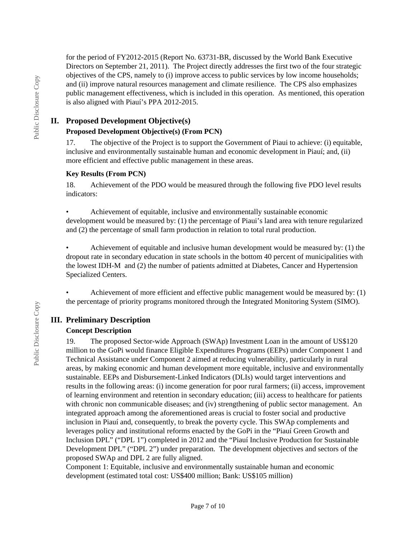for the period of FY2012-2015 (Report No. 63731-BR, discussed by the World Bank Executive Directors on September 21, 2011). The Project directly addresses the first two of the four strategic objectives of the CPS, namely to (i) improve access to public services by low income households; and (ii) improve natural resources management and climate resilience. The CPS also emphasizes public management effectiveness, which is included in this operation. As mentioned, this operation is also aligned with Piauí's PPA 2012-2015.

#### **II. Proposed Development Objective(s)**

#### **Proposed Development Objective(s) (From PCN)**

17. The objective of the Project is to support the Government of Piaui to achieve: (i) equitable, inclusive and environmentally sustainable human and economic development in Piauí; and, (ii) more efficient and effective public management in these areas.

#### **Key Results (From PCN)**

18. Achievement of the PDO would be measured through the following five PDO level results indicators:

• Achievement of equitable, inclusive and environmentally sustainable economic development would be measured by: (1) the percentage of Piaui's land area with tenure regularized and (2) the percentage of small farm production in relation to total rural production.

• Achievement of equitable and inclusive human development would be measured by: (1) the dropout rate in secondary education in state schools in the bottom 40 percent of municipalities with the lowest IDH-M and (2) the number of patients admitted at Diabetes, Cancer and Hypertension Specialized Centers.

• Achievement of more efficient and effective public management would be measured by: (1) the percentage of priority programs monitored through the Integrated Monitoring System (SIMO).

# **III. Preliminary Description**

#### **Concept Description**

19. The proposed Sector-wide Approach (SWAp) Investment Loan in the amount of US\$120 million to the GoPi would finance Eligible Expenditures Programs (EEPs) under Component 1 and Technical Assistance under Component 2 aimed at reducing vulnerability, particularly in rural areas, by making economic and human development more equitable, inclusive and environmentally sustainable. EEPs and Disbursement-Linked Indicators (DLIs) would target interventions and results in the following areas: (i) income generation for poor rural farmers; (ii) access, improvement of learning environment and retention in secondary education; (iii) access to healthcare for patients with chronic non communicable diseases; and (iv) strengthening of public sector management. An integrated approach among the aforementioned areas is crucial to foster social and productive inclusion in Piauí and, consequently, to break the poverty cycle. This SWAp complements and leverages policy and institutional reforms enacted by the GoPi in the "Piauí Green Growth and Inclusion DPL" ("DPL 1") completed in 2012 and the "Piauí Inclusive Production for Sustainable Development DPL" ("DPL 2") under preparation. The development objectives and sectors of the proposed SWAp and DPL 2 are fully aligned.

Component 1: Equitable, inclusive and environmentally sustainable human and economic development (estimated total cost: US\$400 million; Bank: US\$105 million)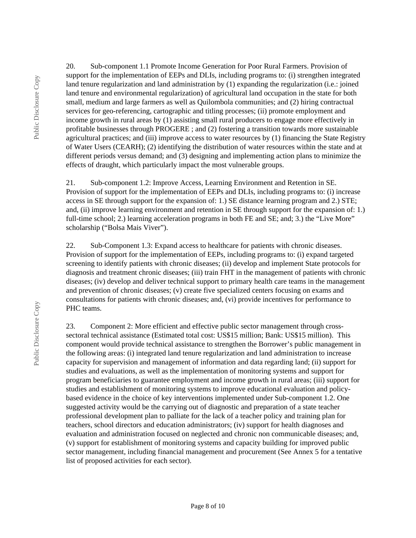20. Sub-component 1.1 Promote Income Generation for Poor Rural Farmers. Provision of support for the implementation of EEPs and DLIs, including programs to: (i) strengthen integrated land tenure regularization and land administration by (1) expanding the regularization (i.e.: joined land tenure and environmental regularization) of agricultural land occupation in the state for both small, medium and large farmers as well as Quilombola communities; and (2) hiring contractual services for geo-referencing, cartographic and titling processes; (ii) promote employment and income growth in rural areas by (1) assisting small rural producers to engage more effectively in profitable businesses through PROGERE ; and (2) fostering a transition towards more sustainable agricultural practices; and (iii) improve access to water resources by (1) financing the State Registry of Water Users (CEARH); (2) identifying the distribution of water resources within the state and at different periods versus demand; and (3) designing and implementing action plans to minimize the effects of draught, which particularly impact the most vulnerable groups.

21. Sub-component 1.2: Improve Access, Learning Environment and Retention in SE. Provision of support for the implementation of EEPs and DLIs, including programs to: (i) increase access in SE through support for the expansion of: 1.) SE distance learning program and 2.) STE; and, (ii) improve learning environment and retention in SE through support for the expansion of: 1.) full-time school; 2.) learning acceleration programs in both FE and SE; and; 3.) the "Live More" scholarship ("Bolsa Mais Viver").

22. Sub-Component 1.3: Expand access to healthcare for patients with chronic diseases. Provision of support for the implementation of EEPs, including programs to: (i) expand targeted screening to identify patients with chronic diseases; (ii) develop and implement State protocols for diagnosis and treatment chronic diseases; (iii) train FHT in the management of patients with chronic diseases; (iv) develop and deliver technical support to primary health care teams in the management and prevention of chronic diseases; (v) create five specialized centers focusing on exams and consultations for patients with chronic diseases; and, (vi) provide incentives for performance to PHC teams.

23. Component 2: More efficient and effective public sector management through crosssectoral technical assistance (Estimated total cost: US\$15 million; Bank: US\$15 million). This component would provide technical assistance to strengthen the Borrower's public management in the following areas: (i) integrated land tenure regularization and land administration to increase capacity for supervision and management of information and data regarding land; (ii) support for studies and evaluations, as well as the implementation of monitoring systems and support for program beneficiaries to guarantee employment and income growth in rural areas; (iii) support for studies and establishment of monitoring systems to improve educational evaluation and policybased evidence in the choice of key interventions implemented under Sub-component 1.2. One suggested activity would be the carrying out of diagnostic and preparation of a state teacher professional development plan to palliate for the lack of a teacher policy and training plan for teachers, school directors and education administrators; (iv) support for health diagnoses and evaluation and administration focused on neglected and chronic non communicable diseases; and, (v) support for establishment of monitoring systems and capacity building for improved public sector management, including financial management and procurement (See Annex 5 for a tentative list of proposed activities for each sector).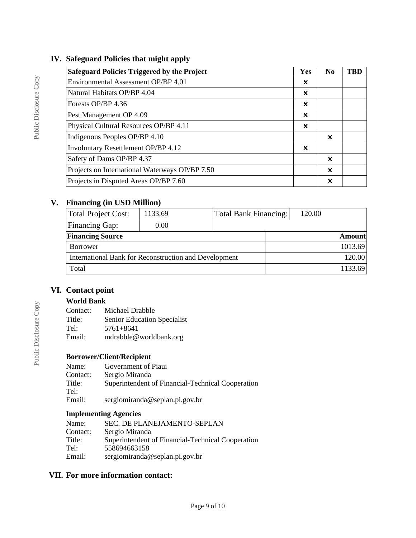# **IV. Safeguard Policies that might apply**

| <b>Safeguard Policies Triggered by the Project</b> | Yes | N <sub>0</sub>            | <b>TBD</b> |
|----------------------------------------------------|-----|---------------------------|------------|
| Environmental Assessment OP/BP 4.01                | X   |                           |            |
| Natural Habitats OP/BP 4.04                        | x   |                           |            |
| Forests OP/BP 4.36                                 | X   |                           |            |
| Pest Management OP 4.09                            | X   |                           |            |
| Physical Cultural Resources OP/BP 4.11             | X   |                           |            |
| Indigenous Peoples OP/BP 4.10                      |     | X                         |            |
| Involuntary Resettlement OP/BP 4.12                | X   |                           |            |
| Safety of Dams OP/BP 4.37                          |     | $\boldsymbol{\mathsf{x}}$ |            |
| Projects on International Waterways OP/BP 7.50     |     | X                         |            |
| Projects in Disputed Areas OP/BP 7.60              |     | X                         |            |

# **V. Financing (in USD Million)**

| <b>Total Project Cost:</b>                            | 1133.69 | <b>Total Bank Financing:</b> | 120.00        |  |
|-------------------------------------------------------|---------|------------------------------|---------------|--|
| Financing Gap:                                        | 0.00    |                              |               |  |
| <b>Financing Source</b>                               |         |                              | <b>Amount</b> |  |
| Borrower                                              |         |                              | 1013.69       |  |
| International Bank for Reconstruction and Development |         |                              | 120.00        |  |
| Total                                                 |         |                              | 1133.69       |  |

## **VI. Contact point**

#### **World Bank**

| Contact: | Michael Drabble             |
|----------|-----------------------------|
| Title:   | Senior Education Specialist |
| Tel:     | $5761 + 8641$               |
| Email:   | mdrabble@worldbank.org      |

### **Borrower/Client/Recipient**

| Name:    | Government of Piaui                               |
|----------|---------------------------------------------------|
| Contact: | Sergio Miranda                                    |
| Title:   | Superintendent of Financial-Technical Cooperation |
| Tel:     |                                                   |
| Email:   | sergiomiranda@seplan.pi.gov.br                    |

### **Implementing Agencies**

| Name:    | SEC. DE PLANEJAMENTO-SEPLAN                       |
|----------|---------------------------------------------------|
| Contact: | Sergio Miranda                                    |
| Title:   | Superintendent of Financial-Technical Cooperation |
| Tel:     | 558694663158                                      |
| Email:   | sergiomiranda@seplan.pi.gov.br                    |

### **VII. For more information contact:**

Public Disclosure Copy

Public Disclosure Copy